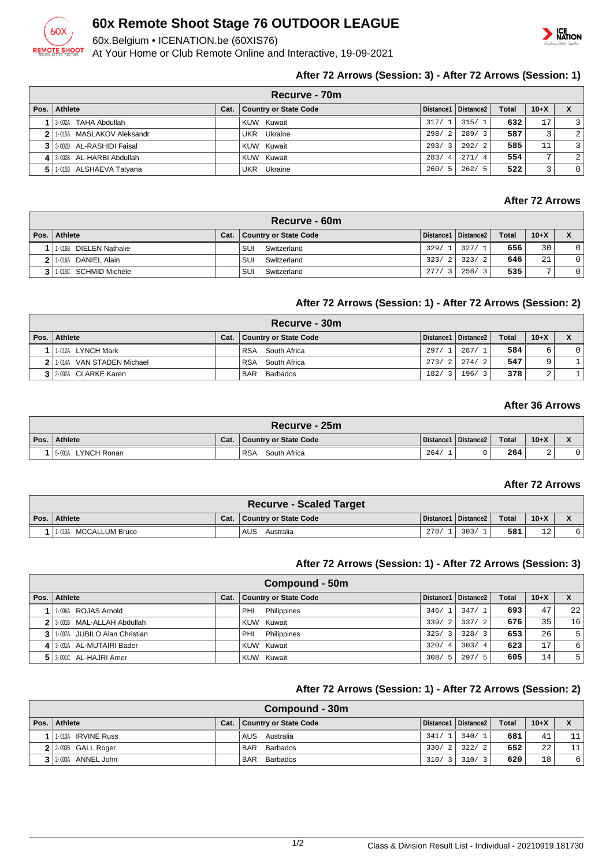

## **60x Remote Shoot Stage 76 OUTDOOR LEAGUE**

60x.Belgium • ICENATION.be (60XIS76)

At Your Home or Club Remote Online and Interactive, 19-09-2021



## **After 72 Arrows (Session: 3) - After 72 Arrows (Session: 1)**

| Recurve - 70m                |      |                              |       |                       |              |                |                |  |  |  |
|------------------------------|------|------------------------------|-------|-----------------------|--------------|----------------|----------------|--|--|--|
| Pos. Athlete                 | Cat. | <b>Country or State Code</b> |       | Distance1   Distance2 | <b>Total</b> | $10 + X$       | X              |  |  |  |
| 1 3-002A TAHA Abdullah       |      | KUW Kuwait                   | 317/1 | 315/1                 | 632          | 17             | ্য             |  |  |  |
| 2 1015A MASLAKOV Aleksandr   |      | UKR Ukraine                  | 298/2 | 289/3                 | 587          |                | 2 <sup>1</sup> |  |  |  |
| 3 3 3 002D AL-RASHIDI Faisal |      | <b>KUW Kuwait</b>            | 293/3 | 292/2                 | 585          | 11             | $\mathsf{R}$   |  |  |  |
| 4 3 002B AL-HARBI Abdullah   |      | KUW Kuwait                   | 283/4 | 271/4                 | 554          | $\overline{ }$ | 2 <sup>1</sup> |  |  |  |
| 5 1.015B ALSHAEVA Tatyana    |      | UKR Ukraine                  | 260/5 | 262/5                 | 522          | ર              | 0 <sup>1</sup> |  |  |  |

## **After 72 Arrows**

|    | Recurve - 60m          |      |                       |       |                       |              |          |    |  |  |
|----|------------------------|------|-----------------------|-------|-----------------------|--------------|----------|----|--|--|
|    | Pos. Athlete           | Cat. | Country or State Code |       | Distance1   Distance2 | <b>Total</b> | $10 + X$ |    |  |  |
|    | 1-016B DIELEN Nathalie |      | Switzerland<br>SUI    | 329/1 | 327/                  | 656          | 30       | 01 |  |  |
| 21 | DANIEL Alain<br>1-016A |      | Switzerland<br>SUI    | 323/2 | 323/2                 | 646          | 21       | 0  |  |  |
|    | 1-016C SCHMID Michèle  |      | SUI<br>Switzerland    | 277/  | 258/                  | 535          | -        | 0  |  |  |

#### **After 72 Arrows (Session: 1) - After 72 Arrows (Session: 2)**

| Recurve - 30m                |      |                        |       |                       |              |        |     |  |  |
|------------------------------|------|------------------------|-------|-----------------------|--------------|--------|-----|--|--|
| Pos.   Athlete               | Cat. | Country or State Code  |       | Distance1   Distance2 | <b>Total</b> | $10+X$ | X   |  |  |
| 1-012A LYNCH Mark            |      | RSA South Africa       | 297/1 | 287/1                 | 584          |        | 0 I |  |  |
| VAN STADEN Michael<br>1 014A |      | RSA South Africa       |       | 273/21274/21          | 547          |        |     |  |  |
| 3 2-002A CLARKE Karen        |      | <b>BAR</b><br>Barbados | 182/  | 196/<br>$\mathcal{R}$ | 378          | ∠      |     |  |  |

## **After 36 Arrows**

|      | $\blacksquare$ Recurve - 25m $\blacksquare$ |      |                            |      |                       |              |        |  |  |  |  |
|------|---------------------------------------------|------|----------------------------|------|-----------------------|--------------|--------|--|--|--|--|
| Pos. | Athlete                                     | Cat. | Country or State Code      |      | Distance1   Distance2 | <b>Total</b> | $10+X$ |  |  |  |  |
|      | LYNCH Ronan<br>5-001A                       |      | <b>RSA</b><br>South Africa | 264/ |                       | 264          | ▵      |  |  |  |  |

#### **After 72 Arrows**

| <b>Recurve - Scaled Target</b> |  |                              |      |                       |       |        |  |  |  |  |
|--------------------------------|--|------------------------------|------|-----------------------|-------|--------|--|--|--|--|
| Pos. Athlete                   |  | Cat.   Country or State Code |      | Distance1   Distance2 | Total | $10+X$ |  |  |  |  |
| 1-013A MCCALLUM Bruce          |  | AUS<br>Australia             | 278/ | 303/                  | 581   | 12     |  |  |  |  |

#### **After 72 Arrows (Session: 1) - After 72 Arrows (Session: 3)**

| Compound - 50m               |      |                              |       |                       |              |          |                |  |  |
|------------------------------|------|------------------------------|-------|-----------------------|--------------|----------|----------------|--|--|
| Pos.   Athlete               | Cat. | <b>Country or State Code</b> |       | Distance1   Distance2 | <b>Total</b> | $10 + X$ | X              |  |  |
| 1-006A ROJAS Arnold          |      | Philippines<br>PHI           | 346/1 | 347/1                 | 693          | 47       | 22             |  |  |
| 2 3 001B MAL-ALLAH Abdullah  |      | KUW Kuwait                   | 339/2 | 337/2                 | 676          | 35       | 16             |  |  |
| 1.007A JUBILO Alan Christian |      | Philippines<br>PHI           | 325/3 | 328/3                 | 653          | 26       | 5 <sup>1</sup> |  |  |
| 4 3 001A AL-MUTAIRI Bader    |      | KUW Kuwait                   | 320/4 | 303/4                 | 623          | 17       | 6              |  |  |
| 5 3.001C AL-HAJRI Amer       |      | KUW Kuwait                   | 308/5 | 297/5                 | 605          | 14       | 5              |  |  |

#### **After 72 Arrows (Session: 1) - After 72 Arrows (Session: 2)**

| Compound - 30m        |      |                              |       |                       |              |        |    |  |  |
|-----------------------|------|------------------------------|-------|-----------------------|--------------|--------|----|--|--|
| Pos.   Athlete        | Cat. | <b>Country or State Code</b> |       | Distance1   Distance2 | <b>Total</b> | $10+X$ |    |  |  |
| 1-010A IRVINE Russ    |      | AUS Australia                | 341/1 | 340/1                 | 681          | 41     | 11 |  |  |
| $2$ 2-003B GALL Roger |      | BAR Barbados                 | 330/2 | 322/2                 | 652          | 22     | 11 |  |  |
| 3 2-003A ANNEL John   |      | <b>BAR</b><br>Barbados       | 310/3 | 310/3                 | 620          | 18     | 6  |  |  |